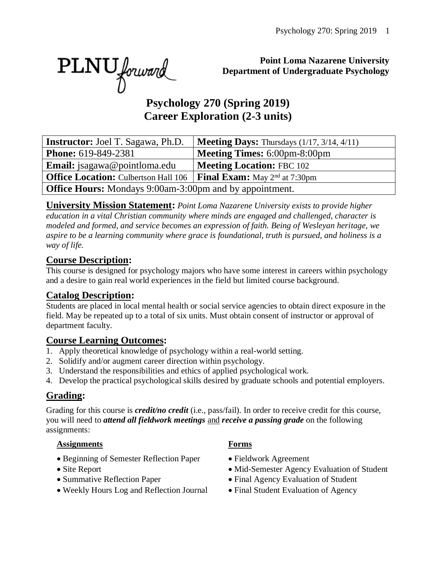PLNU forward

#### **Point Loma Nazarene University Department of Undergraduate Psychology**

# **Psychology 270 (Spring 2019) Career Exploration (2-3 units)**

| <b>Instructor:</b> Joel T. Sagawa, Ph.D.                                                       | <b>Meeting Days:</b> Thursdays $(1/17, 3/14, 4/11)$ |  |  |  |
|------------------------------------------------------------------------------------------------|-----------------------------------------------------|--|--|--|
| <b>Phone:</b> 619-849-2381                                                                     | <b>Meeting Times: 6:00pm-8:00pm</b>                 |  |  |  |
| <b>Email:</b> jsagawa@pointloma.edu                                                            | <b>Meeting Location: FBC 102</b>                    |  |  |  |
| <b>Office Location:</b> Culbertson Hall 106   <b>Final Exam:</b> May 2 <sup>nd</sup> at 7:30pm |                                                     |  |  |  |
| <b>Office Hours:</b> Mondays 9:00am-3:00pm and by appointment.                                 |                                                     |  |  |  |

**University Mission Statement:** *Point Loma Nazarene University exists to provide higher education in a vital Christian community where minds are engaged and challenged, character is modeled and formed, and service becomes an expression of faith. Being of Wesleyan heritage, we aspire to be a learning community where grace is foundational, truth is pursued, and holiness is a way of life.*

#### **Course Description:**

This course is designed for psychology majors who have some interest in careers within psychology and a desire to gain real world experiences in the field but limited course background.

#### **Catalog Description:**

Students are placed in local mental health or social service agencies to obtain direct exposure in the field. May be repeated up to a total of six units. Must obtain consent of instructor or approval of department faculty.

#### **Course Learning Outcomes:**

- 1. Apply theoretical knowledge of psychology within a real-world setting.
- 2. Solidify and/or augment career direction within psychology.
- 3. Understand the responsibilities and ethics of applied psychological work.
- 4. Develop the practical psychological skills desired by graduate schools and potential employers.

#### **Grading:**

Grading for this course is *credit/no credit* (i.e., pass/fail). In order to receive credit for this course, you will need to *attend all fieldwork meetings* and *receive a passing grade* on the following assignments:

#### **Assignments Forms**

- Beginning of Semester Reflection Paper Fieldwork Agreement
- 
- 
- Weekly Hours Log and Reflection Journal Final Student Evaluation of Agency
- 
- 
- Site Report Mid-Semester Agency Evaluation of Student
- Summative Reflection Paper Final Agency Evaluation of Student
	-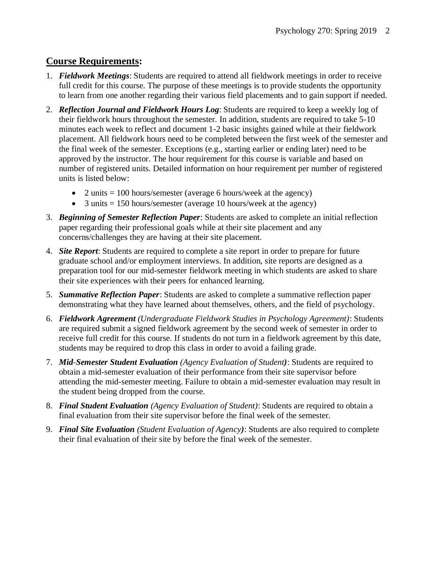#### **Course Requirements:**

- 1. *Fieldwork Meetings*: Students are required to attend all fieldwork meetings in order to receive full credit for this course. The purpose of these meetings is to provide students the opportunity to learn from one another regarding their various field placements and to gain support if needed.
- 2. *Reflection Journal and Fieldwork Hours Log*: Students are required to keep a weekly log of their fieldwork hours throughout the semester. In addition, students are required to take 5-10 minutes each week to reflect and document 1-2 basic insights gained while at their fieldwork placement. All fieldwork hours need to be completed between the first week of the semester and the final week of the semester. Exceptions (e.g., starting earlier or ending later) need to be approved by the instructor. The hour requirement for this course is variable and based on number of registered units. Detailed information on hour requirement per number of registered units is listed below:
	- 2 units  $= 100$  hours/semester (average 6 hours/week at the agency)
	- 3 units  $= 150$  hours/semester (average 10 hours/week at the agency)
- 3. *Beginning of Semester Reflection Paper*: Students are asked to complete an initial reflection paper regarding their professional goals while at their site placement and any concerns/challenges they are having at their site placement.
- 4. *Site Report*: Students are required to complete a site report in order to prepare for future graduate school and/or employment interviews. In addition, site reports are designed as a preparation tool for our mid-semester fieldwork meeting in which students are asked to share their site experiences with their peers for enhanced learning.
- 5. *Summative Reflection Paper*: Students are asked to complete a summative reflection paper demonstrating what they have learned about themselves, others, and the field of psychology.
- 6. *Fieldwork Agreement (Undergraduate Fieldwork Studies in Psychology Agreement)*: Students are required submit a signed fieldwork agreement by the second week of semester in order to receive full credit for this course. If students do not turn in a fieldwork agreement by this date, students may be required to drop this class in order to avoid a failing grade.
- 7. *Mid*-*Semester Student Evaluation (Agency Evaluation of Student)*: Students are required to obtain a mid-semester evaluation of their performance from their site supervisor before attending the mid-semester meeting. Failure to obtain a mid-semester evaluation may result in the student being dropped from the course.
- 8. *Final Student Evaluation (Agency Evaluation of Student)*: Students are required to obtain a final evaluation from their site supervisor before the final week of the semester.
- 9. *Final Site Evaluation (Student Evaluation of Agency)*: Students are also required to complete their final evaluation of their site by before the final week of the semester.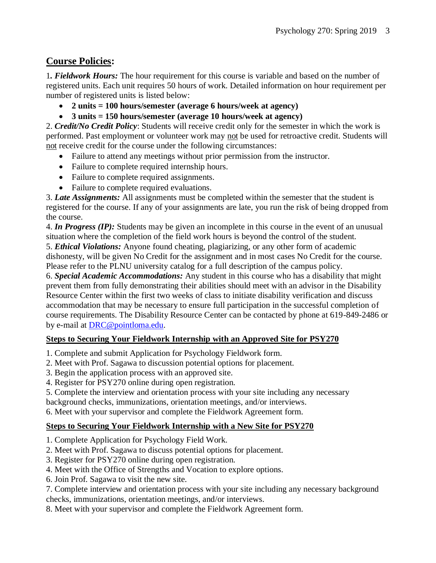#### **Course Policies:**

1*. Fieldwork Hours:* The hour requirement for this course is variable and based on the number of registered units. Each unit requires 50 hours of work. Detailed information on hour requirement per number of registered units is listed below:

- **2 units = 100 hours/semester (average 6 hours/week at agency)**
- **3 units = 150 hours/semester (average 10 hours/week at agency)**

2. *Credit/No Credit Policy*: Students will receive credit only for the semester in which the work is performed. Past employment or volunteer work may not be used for retroactive credit. Students will not receive credit for the course under the following circumstances:

- Failure to attend any meetings without prior permission from the instructor.
- Failure to complete required internship hours.
- Failure to complete required assignments.
- Failure to complete required evaluations.

3. *Late Assignments:* All assignments must be completed within the semester that the student is registered for the course. If any of your assignments are late, you run the risk of being dropped from the course.

4. *In Progress (IP):* Students may be given an incomplete in this course in the event of an unusual situation where the completion of the field work hours is beyond the control of the student.

5. *Ethical Violations:* Anyone found cheating, plagiarizing, or any other form of academic dishonesty, will be given No Credit for the assignment and in most cases No Credit for the course. Please refer to the PLNU university catalog for a full description of the campus policy.

6. *Special Academic Accommodations:* Any student in this course who has a disability that might prevent them from fully demonstrating their abilities should meet with an advisor in the Disability Resource Center within the first two weeks of class to initiate disability verification and discuss accommodation that may be necessary to ensure full participation in the successful completion of course requirements. The Disability Resource Center can be contacted by phone at 619-849-2486 or by e-mail at [DRC@pointloma.edu.](mailto:DRC@pointloma.edu)

#### **Steps to Securing Your Fieldwork Internship with an Approved Site for PSY270**

- 1. Complete and submit Application for Psychology Fieldwork form.
- 2. Meet with Prof. Sagawa to discussion potential options for placement.
- 3. Begin the application process with an approved site.
- 4. Register for PSY270 online during open registration.
- 5. Complete the interview and orientation process with your site including any necessary

background checks, immunizations, orientation meetings, and/or interviews.

6. Meet with your supervisor and complete the Fieldwork Agreement form.

#### **Steps to Securing Your Fieldwork Internship with a New Site for PSY270**

- 1. Complete Application for Psychology Field Work.
- 2. Meet with Prof. Sagawa to discuss potential options for placement.
- 3. Register for PSY270 online during open registration.
- 4. Meet with the Office of Strengths and Vocation to explore options.
- 6. Join Prof. Sagawa to visit the new site.

7. Complete interview and orientation process with your site including any necessary background checks, immunizations, orientation meetings, and/or interviews.

8. Meet with your supervisor and complete the Fieldwork Agreement form.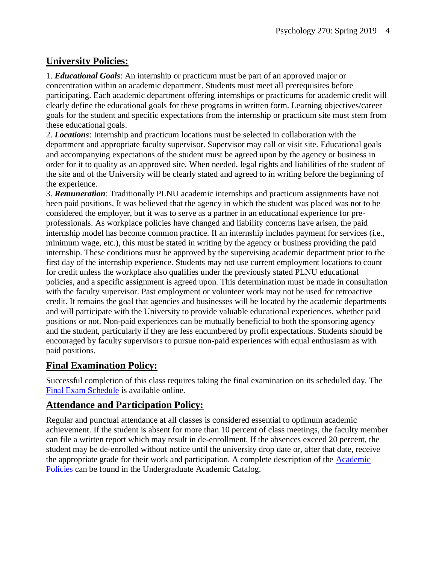#### **University Policies:**

1. *Educational Goals*: An internship or practicum must be part of an approved major or concentration within an academic department. Students must meet all prerequisites before participating. Each academic department offering internships or practicums for academic credit will clearly define the educational goals for these programs in written form. Learning objectives/career goals for the student and specific expectations from the internship or practicum site must stem from these educational goals.

2. *Locations*: Internship and practicum locations must be selected in collaboration with the department and appropriate faculty supervisor. Supervisor may call or visit site. Educational goals and accompanying expectations of the student must be agreed upon by the agency or business in order for it to quality as an approved site. When needed, legal rights and liabilities of the student of the site and of the University will be clearly stated and agreed to in writing before the beginning of the experience.

3. *Remuneration*: Traditionally PLNU academic internships and practicum assignments have not been paid positions. It was believed that the agency in which the student was placed was not to be considered the employer, but it was to serve as a partner in an educational experience for preprofessionals. As workplace policies have changed and liability concerns have arisen, the paid internship model has become common practice. If an internship includes payment for services (i.e., minimum wage, etc.), this must be stated in writing by the agency or business providing the paid internship. These conditions must be approved by the supervising academic department prior to the first day of the internship experience. Students may not use current employment locations to count for credit unless the workplace also qualifies under the previously stated PLNU educational policies, and a specific assignment is agreed upon. This determination must be made in consultation with the faculty supervisor. Past employment or volunteer work may not be used for retroactive credit. It remains the goal that agencies and businesses will be located by the academic departments and will participate with the University to provide valuable educational experiences, whether paid positions or not. Non-paid experiences can be mutually beneficial to both the sponsoring agency and the student, particularly if they are less encumbered by profit expectations. Students should be encouraged by faculty supervisors to pursue non-paid experiences with equal enthusiasm as with paid positions.

#### **Final Examination Policy:**

Successful completion of this class requires taking the final examination on its scheduled day. The [Final Exam Schedule](http://www.pointloma.edu/experience/academics/class-schedules) is available online.

#### **Attendance and Participation Policy:**

Regular and punctual attendance at all classes is considered essential to optimum academic achievement. If the student is absent for more than 10 percent of class meetings, the faculty member can file a written report which may result in de-enrollment. If the absences exceed 20 percent, the student may be de-enrolled without notice until the university drop date or, after that date, receive the appropriate grade for their work and participation. A complete description of the [Academic](https://catalog.pointloma.edu/content.php?catoid=18&navoid=1278#Class_Attendance)  [Policies](https://catalog.pointloma.edu/content.php?catoid=18&navoid=1278#Class_Attendance) can be found in the Undergraduate Academic Catalog.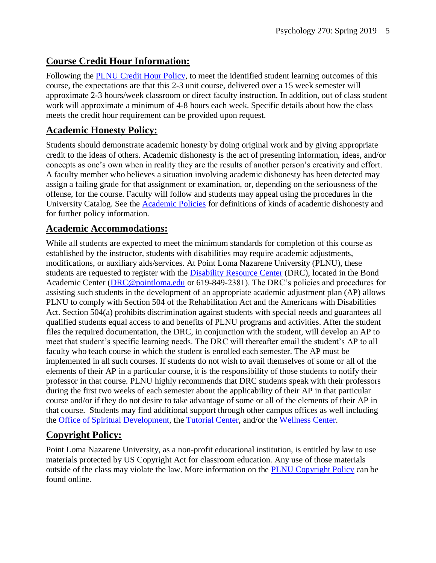#### **Course Credit Hour Information:**

Following the [PLNU Credit Hour Policy,](http://catalog.pointloma.edu/content.php?catoid=18&navoid=1278#Credit_Hour_Definition) to meet the identified student learning outcomes of this course, the expectations are that this 2-3 unit course, delivered over a 15 week semester will approximate 2-3 hours/week classroom or direct faculty instruction. In addition, out of class student work will approximate a minimum of 4-8 hours each week. Specific details about how the class meets the credit hour requirement can be provided upon request.

#### **Academic Honesty Policy:**

Students should demonstrate academic honesty by doing original work and by giving appropriate credit to the ideas of others. Academic dishonesty is the act of presenting information, ideas, and/or concepts as one's own when in reality they are the results of another person's creativity and effort. A faculty member who believes a situation involving academic dishonesty has been detected may assign a failing grade for that assignment or examination, or, depending on the seriousness of the offense, for the course. Faculty will follow and students may appeal using the procedures in the University Catalog. See the [Academic Policies](https://catalog.pointloma.edu/content.php?catoid=18&navoid=1278#Academic_Honesty) for definitions of kinds of academic dishonesty and for further policy information.

#### **Academic Accommodations:**

While all students are expected to meet the minimum standards for completion of this course as established by the instructor, students with disabilities may require academic adjustments, modifications, or auxiliary aids/services. At Point Loma Nazarene University (PLNU), these students are requested to register with the **Disability Resource Center** (DRC), located in the Bond Academic Center [\(DRC@pointloma.edu](mailto:DRC@pointloma.edu) or 619-849-2381). The DRC's policies and procedures for assisting such students in the development of an appropriate academic adjustment plan (AP) allows PLNU to comply with Section 504 of the Rehabilitation Act and the Americans with Disabilities Act. Section 504(a) prohibits discrimination against students with special needs and guarantees all qualified students equal access to and benefits of PLNU programs and activities. After the student files the required documentation, the DRC, in conjunction with the student, will develop an AP to meet that student's specific learning needs. The DRC will thereafter email the student's AP to all faculty who teach course in which the student is enrolled each semester. The AP must be implemented in all such courses. If students do not wish to avail themselves of some or all of the elements of their AP in a particular course, it is the responsibility of those students to notify their professor in that course. PLNU highly recommends that DRC students speak with their professors during the first two weeks of each semester about the applicability of their AP in that particular course and/or if they do not desire to take advantage of some or all of the elements of their AP in that course. Students may find additional support through other campus offices as well including the [Office of Spiritual Development,](https://www.pointloma.edu/offices/spiritual-development) the [Tutorial Center,](https://www.pointloma.edu/offices/tutorial-services) and/or the [Wellness Center.](https://www.pointloma.edu/offices/wellness-center)

#### **Copyright Policy:**

Point Loma Nazarene University, as a non-profit educational institution, is entitled by law to use materials protected by US Copyright Act for classroom education. Any use of those materials outside of the class may violate the law. More information on the [PLNU Copyright Policy](http://libguides.pointloma.edu/content.php?pid=203591&sid=1700398) can be found online.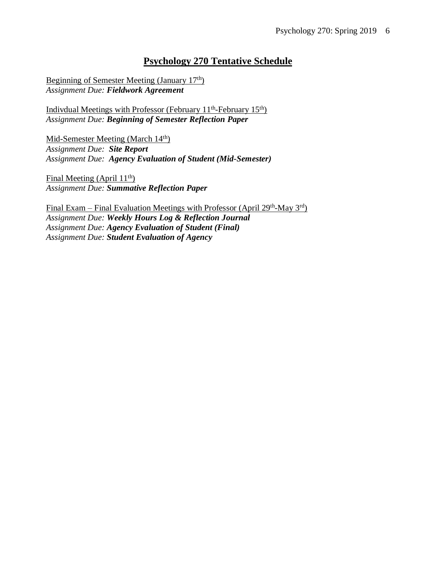#### **Psychology 270 Tentative Schedule**

Beginning of Semester Meeting (January 17th) *Assignment Due: Fieldwork Agreement*

Indivdual Meetings with Professor (February 11<sup>th</sup>-February 15<sup>th</sup>) *Assignment Due: Beginning of Semester Reflection Paper*

Mid-Semester Meeting (March 14<sup>th</sup>) *Assignment Due: Site Report Assignment Due: Agency Evaluation of Student (Mid-Semester)*

Final Meeting (April  $11<sup>th</sup>$ ) *Assignment Due: Summative Reflection Paper*

Final Exam – Final Evaluation Meetings with Professor (April 29<sup>th</sup>-May 3<sup>rd</sup>) *Assignment Due: Weekly Hours Log & Reflection Journal Assignment Due: Agency Evaluation of Student (Final) Assignment Due: Student Evaluation of Agency*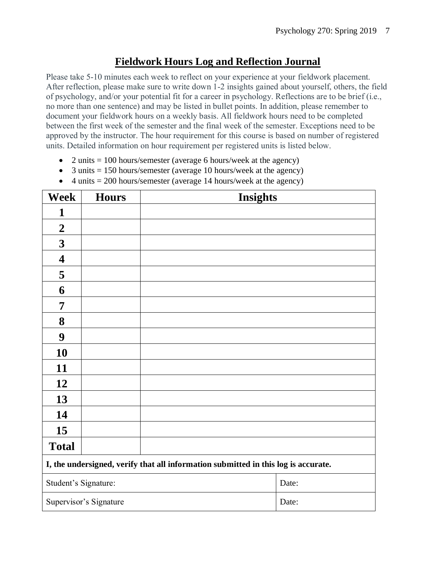#### **Fieldwork Hours Log and Reflection Journal**

Please take 5-10 minutes each week to reflect on your experience at your fieldwork placement. After reflection, please make sure to write down 1-2 insights gained about yourself, others, the field of psychology, and/or your potential fit for a career in psychology. Reflections are to be brief (i.e., no more than one sentence) and may be listed in bullet points. In addition, please remember to document your fieldwork hours on a weekly basis. All fieldwork hours need to be completed between the first week of the semester and the final week of the semester. Exceptions need to be approved by the instructor. The hour requirement for this course is based on number of registered units. Detailed information on hour requirement per registered units is listed below.

- 2 units  $= 100$  hours/semester (average 6 hours/week at the agency)
- 3 units  $= 150$  hours/semester (average 10 hours/week at the agency)
- 4 units  $= 200$  hours/semester (average 14 hours/week at the agency)

| <b>Week</b>                                                                        | <b>Hours</b>           | <b>Insights</b> |       |  |
|------------------------------------------------------------------------------------|------------------------|-----------------|-------|--|
| 1                                                                                  |                        |                 |       |  |
| $\boldsymbol{2}$                                                                   |                        |                 |       |  |
| $\mathbf{3}$                                                                       |                        |                 |       |  |
| 4                                                                                  |                        |                 |       |  |
| 5                                                                                  |                        |                 |       |  |
| 6                                                                                  |                        |                 |       |  |
| 7                                                                                  |                        |                 |       |  |
| 8                                                                                  |                        |                 |       |  |
| 9                                                                                  |                        |                 |       |  |
| 10                                                                                 |                        |                 |       |  |
| 11                                                                                 |                        |                 |       |  |
| 12                                                                                 |                        |                 |       |  |
| 13                                                                                 |                        |                 |       |  |
| 14                                                                                 |                        |                 |       |  |
| 15                                                                                 |                        |                 |       |  |
| <b>Total</b>                                                                       |                        |                 |       |  |
| I, the undersigned, verify that all information submitted in this log is accurate. |                        |                 |       |  |
| Student's Signature:                                                               |                        |                 | Date: |  |
|                                                                                    | Supervisor's Signature |                 | Date: |  |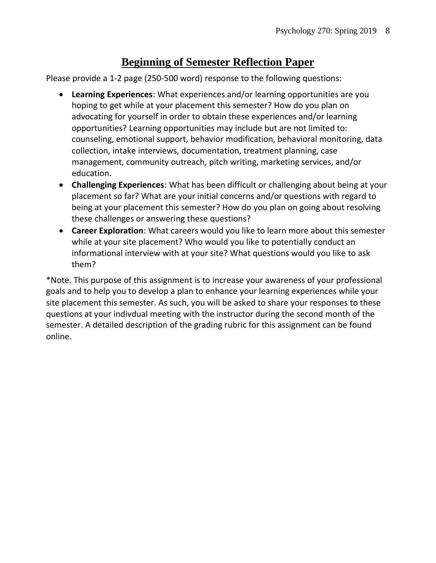## **Beginning of Semester Reflection Paper**

Please provide a 1-2 page (250-500 word) response to the following questions:

- **Learning Experiences**: What experiences and/or learning opportunities are you hoping to get while at your placement this semester? How do you plan on advocating for yourself in order to obtain these experiences and/or learning opportunities? Learning opportunities may include but are not limited to: counseling, emotional support, behavior modification, behavioral monitoring, data collection, intake interviews, documentation, treatment planning, case management, community outreach, pitch writing, marketing services, and/or education.
- **Challenging Experiences**: What has been difficult or challenging about being at your placement so far? What are your initial concerns and/or questions with regard to being at your placement this semester? How do you plan on going about resolving these challenges or answering these questions?
- **Career Exploration**: What careers would you like to learn more about this semester while at your site placement? Who would you like to potentially conduct an informational interview with at your site? What questions would you like to ask them?

\*Note. This purpose of this assignment is to increase your awareness of your professional goals and to help you to develop a plan to enhance your learning experiences while your site placement this semester. As such, you will be asked to share your responses to these questions at your indivdual meeting with the instructor during the second month of the semester. A detailed description of the grading rubric for this assignment can be found online.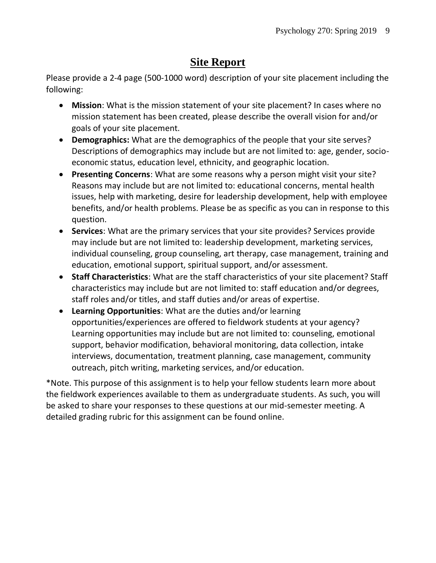# **Site Report**

Please provide a 2-4 page (500-1000 word) description of your site placement including the following:

- **Mission**: What is the mission statement of your site placement? In cases where no mission statement has been created, please describe the overall vision for and/or goals of your site placement.
- **Demographics:** What are the demographics of the people that your site serves? Descriptions of demographics may include but are not limited to: age, gender, socioeconomic status, education level, ethnicity, and geographic location.
- **Presenting Concerns**: What are some reasons why a person might visit your site? Reasons may include but are not limited to: educational concerns, mental health issues, help with marketing, desire for leadership development, help with employee benefits, and/or health problems. Please be as specific as you can in response to this question.
- **Services**: What are the primary services that your site provides? Services provide may include but are not limited to: leadership development, marketing services, individual counseling, group counseling, art therapy, case management, training and education, emotional support, spiritual support, and/or assessment.
- **Staff Characteristics**: What are the staff characteristics of your site placement? Staff characteristics may include but are not limited to: staff education and/or degrees, staff roles and/or titles, and staff duties and/or areas of expertise.
- **Learning Opportunities**: What are the duties and/or learning opportunities/experiences are offered to fieldwork students at your agency? Learning opportunities may include but are not limited to: counseling, emotional support, behavior modification, behavioral monitoring, data collection, intake interviews, documentation, treatment planning, case management, community outreach, pitch writing, marketing services, and/or education.

\*Note. This purpose of this assignment is to help your fellow students learn more about the fieldwork experiences available to them as undergraduate students. As such, you will be asked to share your responses to these questions at our mid-semester meeting. A detailed grading rubric for this assignment can be found online.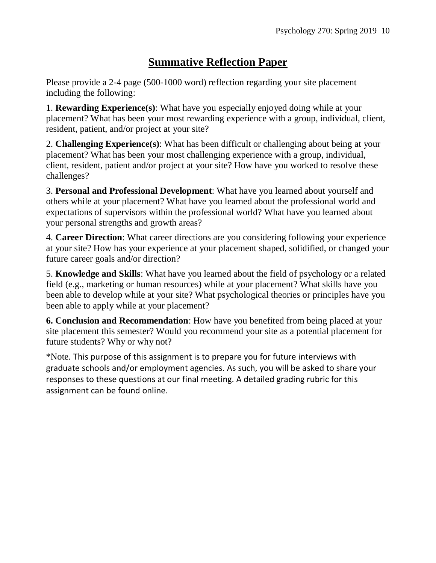# **Summative Reflection Paper**

Please provide a 2-4 page (500-1000 word) reflection regarding your site placement including the following:

1. **Rewarding Experience(s)**: What have you especially enjoyed doing while at your placement? What has been your most rewarding experience with a group, individual, client, resident, patient, and/or project at your site?

2. **Challenging Experience(s)**: What has been difficult or challenging about being at your placement? What has been your most challenging experience with a group, individual, client, resident, patient and/or project at your site? How have you worked to resolve these challenges?

3. **Personal and Professional Development**: What have you learned about yourself and others while at your placement? What have you learned about the professional world and expectations of supervisors within the professional world? What have you learned about your personal strengths and growth areas?

4. **Career Direction**: What career directions are you considering following your experience at your site? How has your experience at your placement shaped, solidified, or changed your future career goals and/or direction?

5. **Knowledge and Skills**: What have you learned about the field of psychology or a related field (e.g., marketing or human resources) while at your placement? What skills have you been able to develop while at your site? What psychological theories or principles have you been able to apply while at your placement?

**6. Conclusion and Recommendation**: How have you benefited from being placed at your site placement this semester? Would you recommend your site as a potential placement for future students? Why or why not?

\*Note. This purpose of this assignment is to prepare you for future interviews with graduate schools and/or employment agencies. As such, you will be asked to share your responses to these questions at our final meeting. A detailed grading rubric for this assignment can be found online.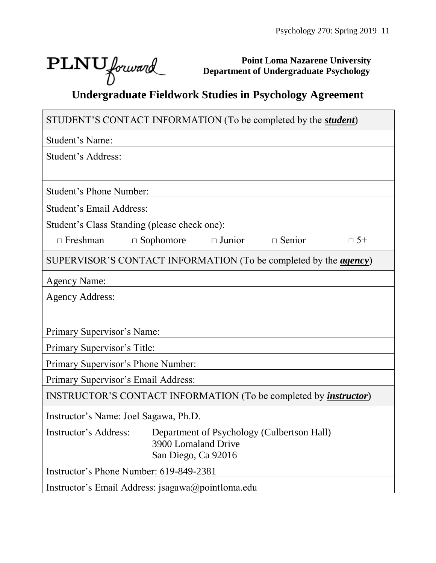┑

# $\text{PLNU}$  forward

 $\Box$ 

**Point Loma Nazarene University Department of Undergraduate Psychology**

# **Undergraduate Fieldwork Studies in Psychology Agreement**

| STUDENT'S CONTACT INFORMATION (To be completed by the <i>student</i> )          |  |  |  |  |  |  |
|---------------------------------------------------------------------------------|--|--|--|--|--|--|
| Student's Name:                                                                 |  |  |  |  |  |  |
| Student's Address:                                                              |  |  |  |  |  |  |
|                                                                                 |  |  |  |  |  |  |
| <b>Student's Phone Number:</b>                                                  |  |  |  |  |  |  |
| Student's Email Address:                                                        |  |  |  |  |  |  |
| Student's Class Standing (please check one):                                    |  |  |  |  |  |  |
| $\Box$ Junior $\Box$ Senior<br>$\Box$ Freshman<br>$\Box$ Sophomore<br>$\Box$ 5+ |  |  |  |  |  |  |
| SUPERVISOR'S CONTACT INFORMATION (To be completed by the <i>agency</i> )        |  |  |  |  |  |  |
| <b>Agency Name:</b>                                                             |  |  |  |  |  |  |
| <b>Agency Address:</b>                                                          |  |  |  |  |  |  |
|                                                                                 |  |  |  |  |  |  |
| Primary Supervisor's Name:                                                      |  |  |  |  |  |  |
| Primary Supervisor's Title:                                                     |  |  |  |  |  |  |
| Primary Supervisor's Phone Number:                                              |  |  |  |  |  |  |
| Primary Supervisor's Email Address:                                             |  |  |  |  |  |  |
| INSTRUCTOR'S CONTACT INFORMATION (To be completed by <i>instructor</i> )        |  |  |  |  |  |  |
| Instructor's Name: Joel Sagawa, Ph.D.                                           |  |  |  |  |  |  |
| Instructor's Address: Department of Psychology (Culbertson Hall)                |  |  |  |  |  |  |
| 3900 Lomaland Drive<br>San Diego, Ca 92016                                      |  |  |  |  |  |  |
| Instructor's Phone Number: 619-849-2381                                         |  |  |  |  |  |  |
| Instructor's Email Address: jsagawa@pointloma.edu                               |  |  |  |  |  |  |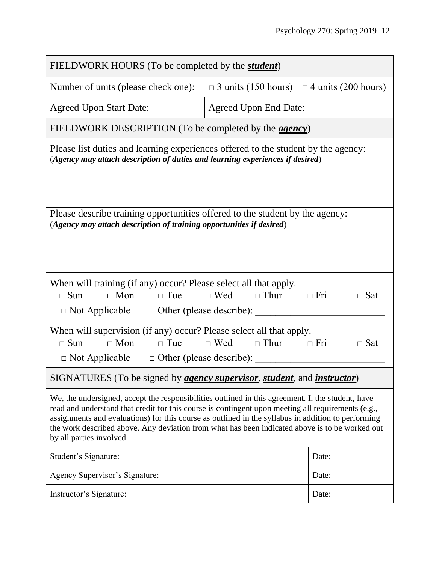| FIELDWORK HOURS (To be completed by the <i>student</i> )                                                                                                                                                                                                                                                                                                                                                                                    |                                                       |            |  |  |  |
|---------------------------------------------------------------------------------------------------------------------------------------------------------------------------------------------------------------------------------------------------------------------------------------------------------------------------------------------------------------------------------------------------------------------------------------------|-------------------------------------------------------|------------|--|--|--|
| Number of units (please check one):                                                                                                                                                                                                                                                                                                                                                                                                         | $\Box$ 3 units (150 hours) $\Box$ 4 units (200 hours) |            |  |  |  |
| <b>Agreed Upon Start Date:</b>                                                                                                                                                                                                                                                                                                                                                                                                              | <b>Agreed Upon End Date:</b>                          |            |  |  |  |
| FIELDWORK DESCRIPTION (To be completed by the <i>agency</i> )                                                                                                                                                                                                                                                                                                                                                                               |                                                       |            |  |  |  |
| Please list duties and learning experiences offered to the student by the agency:<br>(Agency may attach description of duties and learning experiences if desired)                                                                                                                                                                                                                                                                          |                                                       |            |  |  |  |
| Please describe training opportunities offered to the student by the agency:<br>(Agency may attach description of training opportunities if desired)                                                                                                                                                                                                                                                                                        |                                                       |            |  |  |  |
| When will training (if any) occur? Please select all that apply.<br>$\Box$ Mon<br>$\Box$ Sun<br>$\Box$ Tue                                                                                                                                                                                                                                                                                                                                  | $\Box$ Wed $\Box$ Thur<br>$\Box$ Fri                  | $\Box$ Sat |  |  |  |
| When will supervision (if any) occur? Please select all that apply.<br>$\Box$ Mon<br>$\Box$ Tue<br>$\Box$ Sun<br>$\Box$ Not Applicable $\Box$ Other (please describe):                                                                                                                                                                                                                                                                      | $\Box$ Wed $\Box$ Thur<br>$\Box$ Fri                  | $\Box$ Sat |  |  |  |
| SIGNATURES (To be signed by <i>agency supervisor, student</i> , and <i>instructor</i> )                                                                                                                                                                                                                                                                                                                                                     |                                                       |            |  |  |  |
| We, the undersigned, accept the responsibilities outlined in this agreement. I, the student, have<br>read and understand that credit for this course is contingent upon meeting all requirements (e.g.,<br>assignments and evaluations) for this course as outlined in the syllabus in addition to performing<br>the work described above. Any deviation from what has been indicated above is to be worked out<br>by all parties involved. |                                                       |            |  |  |  |
| Student's Signature:                                                                                                                                                                                                                                                                                                                                                                                                                        |                                                       | Date:      |  |  |  |
| Agency Supervisor's Signature:                                                                                                                                                                                                                                                                                                                                                                                                              |                                                       | Date:      |  |  |  |
| Instructor's Signature:                                                                                                                                                                                                                                                                                                                                                                                                                     |                                                       | Date:      |  |  |  |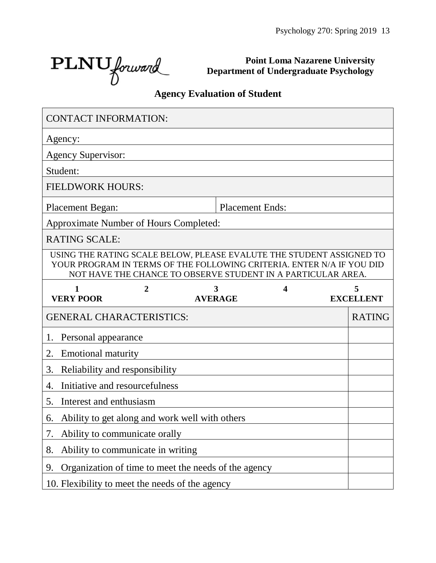$\text{PLNU}_{forward}$ 

**Point Loma Nazarene University Department of Undergraduate Psychology**

# **Agency Evaluation of Student**

| <b>CONTACT INFORMATION:</b>                          |                |                                                                                                                                                                                                               |   |                       |
|------------------------------------------------------|----------------|---------------------------------------------------------------------------------------------------------------------------------------------------------------------------------------------------------------|---|-----------------------|
| Agency:                                              |                |                                                                                                                                                                                                               |   |                       |
| <b>Agency Supervisor:</b>                            |                |                                                                                                                                                                                                               |   |                       |
| Student:                                             |                |                                                                                                                                                                                                               |   |                       |
| <b>FIELDWORK HOURS:</b>                              |                |                                                                                                                                                                                                               |   |                       |
| <b>Placement Began:</b>                              |                | <b>Placement Ends:</b>                                                                                                                                                                                        |   |                       |
| <b>Approximate Number of Hours Completed:</b>        |                |                                                                                                                                                                                                               |   |                       |
| <b>RATING SCALE:</b>                                 |                |                                                                                                                                                                                                               |   |                       |
|                                                      |                | USING THE RATING SCALE BELOW, PLEASE EVALUTE THE STUDENT ASSIGNED TO<br>YOUR PROGRAM IN TERMS OF THE FOLLOWING CRITERIA. ENTER N/A IF YOU DID<br>NOT HAVE THE CHANCE TO OBSERVE STUDENT IN A PARTICULAR AREA. |   |                       |
| $\mathbf{1}$<br><b>VERY POOR</b>                     | $\overline{2}$ | 3<br><b>AVERAGE</b>                                                                                                                                                                                           | 4 | 5<br><b>EXCELLENT</b> |
| <b>GENERAL CHARACTERISTICS:</b>                      |                |                                                                                                                                                                                                               |   | <b>RATING</b>         |
| Personal appearance<br>1.                            |                |                                                                                                                                                                                                               |   |                       |
| 2.<br><b>Emotional maturity</b>                      |                |                                                                                                                                                                                                               |   |                       |
| 3.<br>Reliability and responsibility                 |                |                                                                                                                                                                                                               |   |                       |
| Initiative and resourcefulness<br>4.                 |                |                                                                                                                                                                                                               |   |                       |
| Interest and enthusiasm<br>5.                        |                |                                                                                                                                                                                                               |   |                       |
| Ability to get along and work well with others<br>6. |                |                                                                                                                                                                                                               |   |                       |
| Ability to communicate orally<br>7.                  |                |                                                                                                                                                                                                               |   |                       |
| Ability to communicate in writing<br>8.              |                |                                                                                                                                                                                                               |   |                       |
|                                                      |                |                                                                                                                                                                                                               |   |                       |
| 9.                                                   |                | Organization of time to meet the needs of the agency                                                                                                                                                          |   |                       |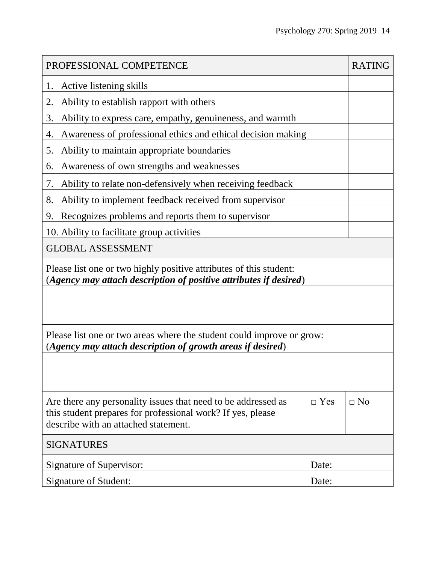| PROFESSIONAL COMPETENCE                                                                                                                                              |            |           |  |  |  |
|----------------------------------------------------------------------------------------------------------------------------------------------------------------------|------------|-----------|--|--|--|
| Active listening skills<br>1.                                                                                                                                        |            |           |  |  |  |
| Ability to establish rapport with others<br>2.                                                                                                                       |            |           |  |  |  |
| 3.<br>Ability to express care, empathy, genuineness, and warmth                                                                                                      |            |           |  |  |  |
| Awareness of professional ethics and ethical decision making<br>4.                                                                                                   |            |           |  |  |  |
| Ability to maintain appropriate boundaries<br>5.                                                                                                                     |            |           |  |  |  |
| Awareness of own strengths and weaknesses<br>6.                                                                                                                      |            |           |  |  |  |
| Ability to relate non-defensively when receiving feedback<br>7.                                                                                                      |            |           |  |  |  |
| Ability to implement feedback received from supervisor<br>8.                                                                                                         |            |           |  |  |  |
| Recognizes problems and reports them to supervisor<br>9.                                                                                                             |            |           |  |  |  |
| 10. Ability to facilitate group activities                                                                                                                           |            |           |  |  |  |
| <b>GLOBAL ASSESSMENT</b>                                                                                                                                             |            |           |  |  |  |
| Please list one or two highly positive attributes of this student:<br>(Agency may attach description of positive attributes if desired)                              |            |           |  |  |  |
|                                                                                                                                                                      |            |           |  |  |  |
| Please list one or two areas where the student could improve or grow:<br>(Agency may attach description of growth areas if desired)                                  |            |           |  |  |  |
|                                                                                                                                                                      |            |           |  |  |  |
| Are there any personality issues that need to be addressed as<br>this student prepares for professional work? If yes, please<br>describe with an attached statement. | $\Box$ Yes | $\Box$ No |  |  |  |
| <b>SIGNATURES</b>                                                                                                                                                    |            |           |  |  |  |
| Signature of Supervisor:<br>Date:                                                                                                                                    |            |           |  |  |  |
| Signature of Student:<br>Date:                                                                                                                                       |            |           |  |  |  |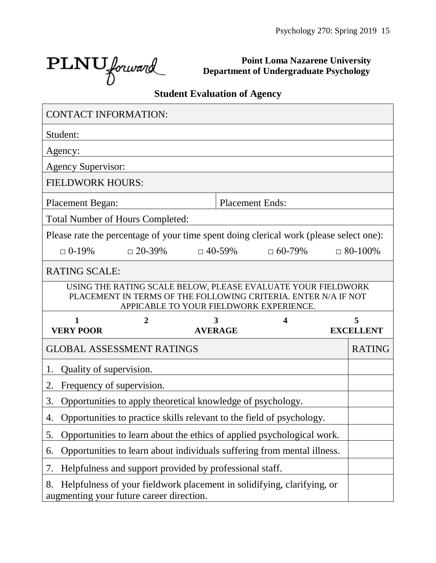$\text{PLNU}_{forward}$ 

**Point Loma Nazarene University Department of Undergraduate Psychology**

## **Student Evaluation of Agency**

| <b>CONTACT INFORMATION:</b>                                                                                                                                               |                                                                         |  |                |                        |                  |
|---------------------------------------------------------------------------------------------------------------------------------------------------------------------------|-------------------------------------------------------------------------|--|----------------|------------------------|------------------|
| Student:                                                                                                                                                                  |                                                                         |  |                |                        |                  |
| Agency:                                                                                                                                                                   |                                                                         |  |                |                        |                  |
| <b>Agency Supervisor:</b>                                                                                                                                                 |                                                                         |  |                |                        |                  |
| <b>FIELDWORK HOURS:</b>                                                                                                                                                   |                                                                         |  |                |                        |                  |
| <b>Placement Began:</b>                                                                                                                                                   |                                                                         |  |                | <b>Placement Ends:</b> |                  |
| <b>Total Number of Hours Completed:</b>                                                                                                                                   |                                                                         |  |                |                        |                  |
| Please rate the percentage of your time spent doing clerical work (please select one):                                                                                    |                                                                         |  |                |                        |                  |
| $\Box$ 0-19%                                                                                                                                                              | $\Box$ 20-39%                                                           |  | $\Box$ 40-59%  | $\Box$ 60-79%          | $\Box$ 80-100%   |
| <b>RATING SCALE:</b>                                                                                                                                                      |                                                                         |  |                |                        |                  |
| USING THE RATING SCALE BELOW, PLEASE EVALUATE YOUR FIELDWORK<br>PLACEMENT IN TERMS OF THE FOLLOWING CRITERIA. ENTER N/A IF NOT<br>APPICABLE TO YOUR FIELDWORK EXPERIENCE. |                                                                         |  |                |                        |                  |
|                                                                                                                                                                           |                                                                         |  |                |                        |                  |
| 1                                                                                                                                                                         | 2                                                                       |  | 3              | 4                      | 5                |
| <b>VERY POOR</b>                                                                                                                                                          |                                                                         |  | <b>AVERAGE</b> |                        | <b>EXCELLENT</b> |
| <b>GLOBAL ASSESSMENT RATINGS</b>                                                                                                                                          |                                                                         |  |                |                        | <b>RATING</b>    |
| Quality of supervision.<br>1.                                                                                                                                             |                                                                         |  |                |                        |                  |
| Frequency of supervision.<br>2.                                                                                                                                           |                                                                         |  |                |                        |                  |
| 3.                                                                                                                                                                        | Opportunities to apply theoretical knowledge of psychology.             |  |                |                        |                  |
| 4.                                                                                                                                                                        | Opportunities to practice skills relevant to the field of psychology.   |  |                |                        |                  |
| 5.                                                                                                                                                                        | Opportunities to learn about the ethics of applied psychological work.  |  |                |                        |                  |
| 6.                                                                                                                                                                        | Opportunities to learn about individuals suffering from mental illness. |  |                |                        |                  |
| 7.                                                                                                                                                                        | Helpfulness and support provided by professional staff.                 |  |                |                        |                  |